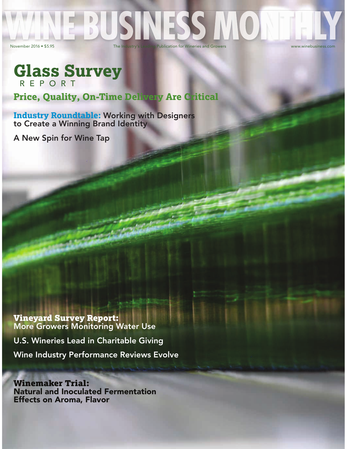# BUS November 2016 • \$5.95 The Industry's Leading Publication for Wineries and Growers www.winebusiness.com

## **Glass Survey** R E P O R T

**Price, Quality, On-Time Delivery Are Critical** 

**Industry Roundtable:** Working with Designers to Create a Winning Brand Identity

A New Spin for Wine Tap

Vineyard Survey Report: More Growers Monitoring Water Use

U.S. Wineries Lead in Charitable Giving Wine Industry Performance Reviews Evolve

Winemaker Trial: Natural and Inoculated Fermentation Effects on Aroma, Flavor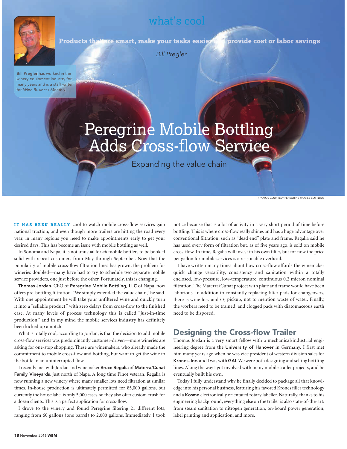## what's cool



Products that are smart, make your tasks easier

provide cost or labor savings

Bill Pregler

**Bill Pregler** has worked in the winery equipment industry for many years and is a staff writer for Wine Business Monthly.

## Peregrine Mobile Bottling Adds Cross-flow Service

Expanding the value chain

PHOTOS COURTESY PEREGRINE MOBILE BOTTLING

**IT HAS BEEN REALLY** cool to watch mobile cross-flow services gain national traction; and even though more trailers are hitting the road every year, in many regions you need to make appointments early to get your desired days. This has become an issue with mobile bottling as well.

In Sonoma and Napa, it is not unusual for *all* mobile bottlers to be booked solid with repeat customers from May through September. Now that the popularity of mobile cross-flow filtration lines has grown, the problem for wineries doubled—many have had to try to schedule two separate mobile service providers, one just before the other. Fortunately, this is changing.

Thomas Jordan, CEO of Peregrine Mobile Bottling, LLC of Napa, now offers pre-bottling filtration. "We simply extended the value chain," he said. With one appointment he will take your unfiltered wine and quickly turn it into a "sellable product," with zero delays from cross-flow to the finished case. At many levels of process technology this is called "just-in-time production," and in my mind the mobile services industry has definitely been kicked up a notch.

What is totally cool, according to Jordan, is that the decision to add mobile cross-flow services was predominantly customer-driven—more wineries are asking for one-stop shopping. These are winemakers, who already made the commitment to mobile cross-flow and bottling, but want to get the wine to the bottle in an uninterrupted flow.

I recently met with Jordan and winemaker Bruce Regalia of Materra/Cunat Family Vineyards, just north of Napa. A long time Pinot veteran, Regalia is now running a new winery where many smaller lots need filtration at similar times. In-house production is ultimately permitted for 85,000 gallons, but currently the house label is only 5,000 cases, so they also offer custom crush for a dozen clients. This is a perfect application for cross-flow.

I drove to the winery and found Peregrine filtering 21 different lots, ranging from 60 gallons (one barrel) to 2,000 gallons. Immediately, I took

notice because that is a lot of activity in a very short period of time before bottling. This is where cross-flow really shines and has a huge advantage over conventional filtration, such as "dead end" plate and frame. Regalia said he has used every form of filtration but, as of five years ago, is sold on mobile cross-flow. In time, Regalia will invest in his own filter, but for now the price per gallon for mobile services is a reasonable overhead.

I have written many times about how cross-flow affords the winemaker quick change versatility, consistency and sanitation within a totally enclosed, low-pressure, low-temperature, continuous 0.2 micron nominal filtration. The Materra/Cunat project with plate and frame would have been laborious. In addition to constantly replacing filter pads for changeovers, there is wine loss and  $O<sub>2</sub>$  pickup, not to mention waste of water. Finally, the workers need to be trained, and clogged pads with diatomaceous earth need to be disposed.

### Designing the Cross-flow Trailer

Thomas Jordan is a very smart fellow with a mechanical/industrial engineering degree from the University of Hanover in Germany. I first met him many years ago when he was vice president of western division sales for Krones, Inc. and I was with GAI. We were both designing and selling bottling lines. Along the way I got involved with many mobile trailer projects, and he eventually built his own.

Today I fully understand why he finally decided to package all that knowledge into his personal business, featuring his favored Krones filler technology and a Kosme electronically orientated rotary labeller. Naturally, thanks to his engineering background, everything else on the trailer is also state-of-the-art: from steam sanitation to nitrogen generation, on-board power generation, label printing and application, and more.